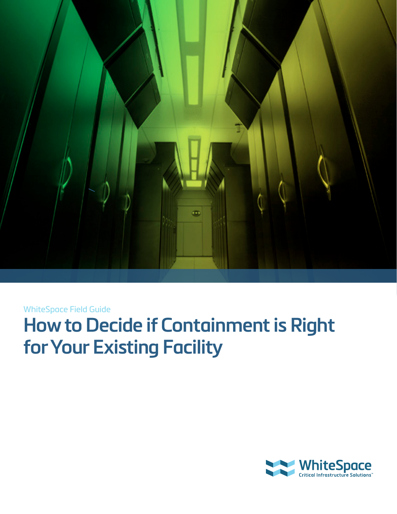

WhiteSpace Field Guide

# **How to Decide if Containment is Right for Your Existing Facility**

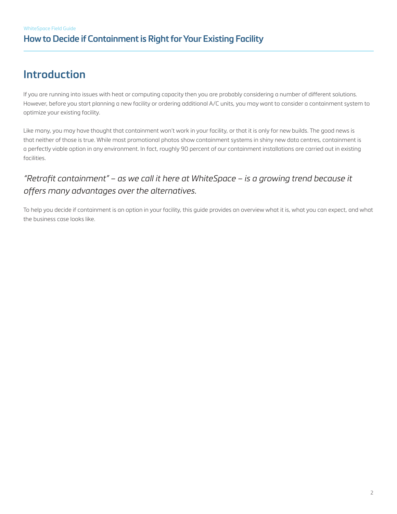# **Introduction**

If you are running into issues with heat or computing capacity then you are probably considering a number of different solutions. However, before you start planning a new facility or ordering additional A/C units, you may want to consider a containment system to optimize your existing facility.

Like many, you may have thought that containment won't work in your facility, or that it is only for new builds. The good news is that neither of those is true. While most promotional photos show containment systems in shiny new data centres, containment is a perfectly viable option in any environment. In fact, roughly 90 percent of our containment installations are carried out in existing facilities.

## *"Retrofit containment" – as we call it here at WhiteSpace – is a growing trend because it offers many advantages over the alternatives.*

To help you decide if containment is an option in your facility, this guide provides an overview what it is, what you can expect, and what the business case looks like.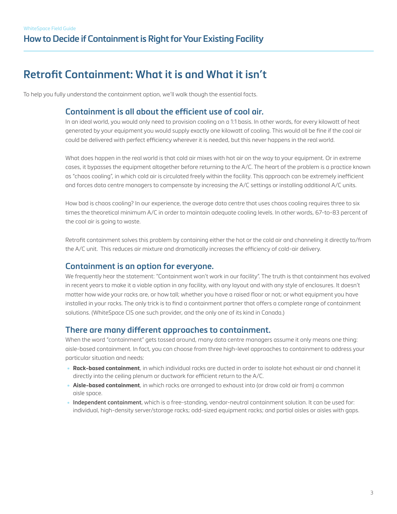# **Retrofit Containment: What it is and What it isn't**

To help you fully understand the containment option, we'll walk though the essential facts.

### **Containment is all about the efficient use of cool air.**

In an ideal world, you would only need to provision cooling on a 1:1 basis. In other words, for every kilowatt of heat generated by your equipment you would supply exactly one kilowatt of cooling. This would all be fine if the cool air could be delivered with perfect efficiency wherever it is needed, but this never happens in the real world.

What does happen in the real world is that cold air mixes with hot air on the way to your equipment. Or in extreme cases, it bypasses the equipment altogether before returning to the A/C. The heart of the problem is a practice known as "chaos cooling", in which cold air is circulated freely within the facility. This approach can be extremely inefficient and forces data centre managers to compensate by increasing the A/C settings or installing additional A/C units.

How bad is chaos cooling? In our experience, the average data centre that uses chaos cooling requires three to six times the theoretical minimum A/C in order to maintain adequate cooling levels. In other words, 67-to-83 percent of the cool air is going to waste.

Retrofit containment solves this problem by containing either the hot or the cold air and channeling it directly to/from the A/C unit. This reduces air mixture and dramatically increases the efficiency of cold-air delivery.

#### **Containment is an option for everyone.**

We frequently hear the statement: "Containment won't work in our facility". The truth is that containment has evolved in recent years to make it a viable option in any facility, with any layout and with any style of enclosures. It doesn't matter how wide your racks are, or how tall; whether you have a raised floor or not; or what equipment you have installed in your racks. The only trick is to find a containment partner that offers a complete range of containment solutions. (WhiteSpace CIS one such provider, and the only one of its kind in Canada.)

#### **There are many different approaches to containment.**

When the word "containment" gets tossed around, many data centre managers assume it only means one thing: aisle-based containment. In fact, you can choose from three high-level approaches to containment to address your particular situation and needs:

- **Rack-based containment**, in which individual racks are ducted in order to isolate hot exhaust air and channel it directly into the ceiling plenum or ductwork for efficient return to the A/C.
- **Aisle-based containment**, in which racks are arranged to exhaust into (or draw cold air from) a common aisle space.
- **Independent containment**, which is a free-standing, vendor-neutral containment solution. It can be used for: individual, high-density server/storage racks; odd-sized equipment racks; and partial aisles or aisles with gaps.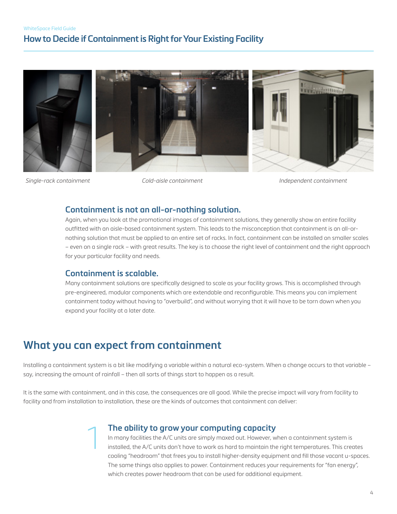### **How to Decide if Containment is Right for Your Existing Facility**



*Single-rack containment Cold-aisle containment Independent containment*

#### **Containment is not an all-or-nothing solution.**

Again, when you look at the promotional images of containment solutions, they generally show an entire facility outfitted with an aisle-based containment system. This leads to the misconception that containment is an all-ornothing solution that must be applied to an entire set of racks. In fact, containment can be installed on smaller scales – even on a single rack – with great results. The key is to choose the right level of containment and the right approach for your particular facility and needs.

#### **Containment is scalable.**

Many containment solutions are specifically designed to scale as your facility grows. This is accomplished through pre-engineered, modular components which are extendable and reconfigurable. This means you can implement containment today without having to "overbuild", and without worrying that it will have to be torn down when you expand your facility at a later date.

# **What you can expect from containment**

1

Installing a containment system is a bit like modifying a variable within a natural eco-system. When a change occurs to that variable – say, increasing the amount of rainfall – then all sorts of things start to happen as a result.

It is the same with containment, and in this case, the consequences are all good. While the precise impact will vary from facility to facility and from installation to installation, these are the kinds of outcomes that containment can deliver:

#### **The ability to grow your computing capacity**

In many facilities the A/C units are simply maxed out. However, when a containment system is installed, the A/C units don't have to work as hard to maintain the right temperatures. This creates cooling "headroom" that frees you to install higher-density equipment and fill those vacant u-spaces. The same things also applies to power. Containment reduces your requirements for "fan energy", which creates power headroom that can be used for additional equipment.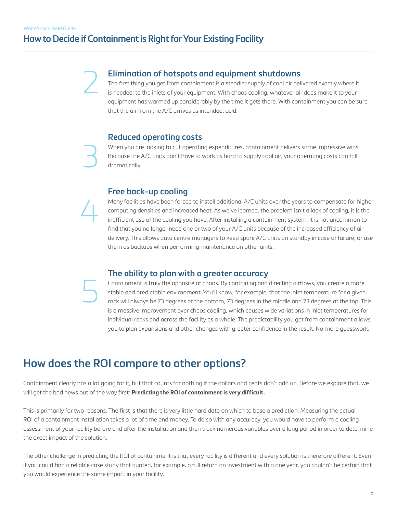2

3

4

5

### **How to Decide if Containment is Right for Your Existing Facility**

#### **Elimination of hotspots and equipment shutdowns**

The first thing you get from containment is a steadier supply of cool air delivered exactly where it is needed: to the inlets of your equipment. With chaos cooling, whatever air does make it to your equipment has warmed up considerably by the time it gets there. With containment you can be sure that the air from the A/C arrives as intended: cold.

#### **Reduced operating costs**

When you are looking to cut operating expenditures, containment delivers some impressive wins. Because the A/C units don't have to work as hard to supply cool air, your operating costs can fall dramatically.

#### **Free back-up cooling**

Many facilities have been forced to install additional A/C units over the years to compensate for higher computing densities and increased heat. As we've learned, the problem isn't a lack of cooling, it is the inefficient use of the cooling you have. After installing a containment system, it is not uncommon to find that you no longer need one or two of your A/C units because of the increased efficiency of air delivery. This allows data centre managers to keep spare A/C units on standby in case of failure, or use them as backups when performing maintenance on other units.

#### **The ability to plan with a greater accuracy**

Containment is truly the opposite of chaos. By containing and directing airflows, you create a more stable and predictable environment. You'll know, for example, that the inlet temperature for a given rack will always be 73 degrees at the bottom, 73 degrees in the middle and 73 degrees at the top. This is a massive improvement over chaos cooling, which causes wide variations in inlet temperatures for individual racks and across the facility as a whole. The predictability you get from containment allows you to plan expansions and other changes with greater confidence in the result. No more guesswork.

# **How does the ROI compare to other options?**

Containment clearly has a lot going for it, but that counts for nothing if the dollars and cents don't add up. Before we explore that, we will get the bad news out of the way first: **Predicting the ROI of containment is very difficult.** 

This is primarily for two reasons. The first is that there is very little hard data on which to base a prediction. Measuring the actual ROI of a containment installation takes a lot of time and money. To do so with any accuracy, you would have to perform a cooling assessment of your facility before and after the installation and then track numerous variables over a long period in order to determine the exact impact of the solution.

The other challenge in predicting the ROI of containment is that every facility is different and every solution is therefore different. Even if you could find a reliable case study that quoted, for example, a full return on investment within one year, you couldn't be certain that you would experience the same impact in your facility.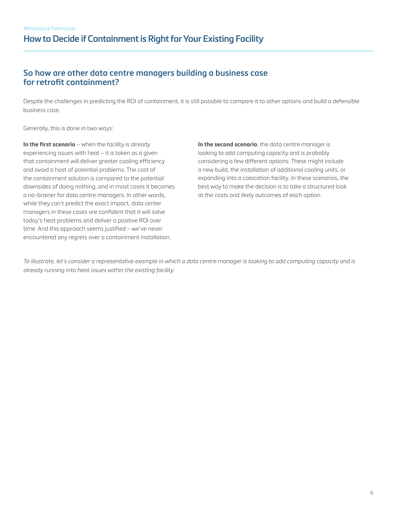### **How to Decide if Containment is Right for Your Existing Facility**

### **So how are other data centre managers building a business case for retrofit containment?**

Despite the challenges in predicting the ROI of containment, it is still possible to compare it to other options and build a defensible business case.

Generally, this is done in two ways:

**In the first scenario** – when the facility is already experiencing issues with heat – it is taken as a given that containment will deliver greater cooling efficiency and avoid a host of potential problems. The cost of the containment solution is compared to the potential downsides of doing nothing, and in most cases it becomes a no-brainer for data centre managers. In other words, while they can't predict the exact impact, data center managers in these cases are confident that it will solve today's heat problems and deliver a positive ROI over time. And this approach seems justified – we've never encountered any regrets over a containment installation.

**In the second scenario**, the data centre manager is looking to add computing capacity and is probably considering a few different options. These might include a new build, the installation of additional cooling units, or expanding into a colocation facility. In these scenarios, the best way to make the decision is to take a structured look at the costs and likely outcomes of each option.

*To illustrate, let's consider a representative example in which a data centre manager is looking to add computing capacity and is already running into heat issues within the existing facility.*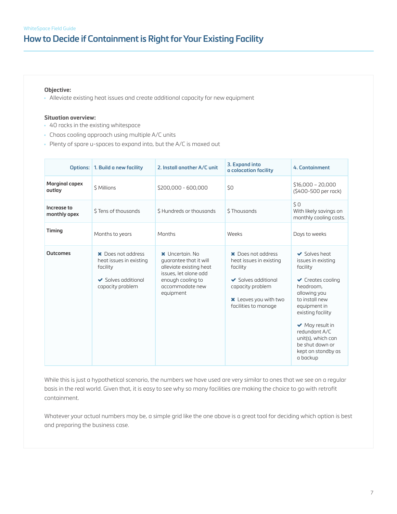### **How to Decide if Containment is Right for Your Existing Facility**

#### **Objective:**

• Alleviate existing heat issues and create additional capacity for new equipment

#### **Situation overview:**

- 40 racks in the existing whitespace
- Chaos cooling approach using multiple A/C units
- Plenty of spare u-spaces to expand into, but the A/C is maxed out

|                                 | Options:   1. Build a new facility                                                                        | 2. Install another A/C unit                                                                                                                              | 3. Expand into<br>a colocation facility                                                                                                                           | 4. Containment                                                                                                                                                                                                                                                                                       |
|---------------------------------|-----------------------------------------------------------------------------------------------------------|----------------------------------------------------------------------------------------------------------------------------------------------------------|-------------------------------------------------------------------------------------------------------------------------------------------------------------------|------------------------------------------------------------------------------------------------------------------------------------------------------------------------------------------------------------------------------------------------------------------------------------------------------|
| <b>Marginal capex</b><br>outlay | \$ Millions                                                                                               | \$200,000 - 600,000                                                                                                                                      | \$0                                                                                                                                                               | $$16,000 - 20,000$<br>(\$400-500 per rack)                                                                                                                                                                                                                                                           |
| Increase to<br>monthly opex     | \$Tens of thousands                                                                                       | \$Hundreds or thousands                                                                                                                                  | \$Thousands                                                                                                                                                       | \$0<br>With likely savings on<br>monthly cooling costs.                                                                                                                                                                                                                                              |
| Timing                          | Months to years                                                                                           | Months                                                                                                                                                   | Weeks                                                                                                                                                             | Days to weeks                                                                                                                                                                                                                                                                                        |
| <b>Outcomes</b>                 | <b>X</b> Does not oddress<br>heat issues in existing<br>facility<br>Solves additional<br>capacity problem | <b>x</b> Uncertain No<br>guarantee that it will<br>alleviate existing heat<br>issues, let alone add<br>enough cooling to<br>accommodate new<br>equipment | <b>X</b> Does not address<br>heat issues in existing<br>facility<br>Solves additional<br>capacity problem<br><b>x</b> Leaves you with two<br>facilities to manage | Solves heat<br>issues in existing<br>facility<br>$\checkmark$ Creates cooling<br>headroom,<br>allowing you<br>to install new<br>equipment in<br>existing facility<br>$\blacktriangleright$ May result in<br>redundant A/C<br>unit(s), which can<br>be shut down or<br>kept on standby as<br>a backup |

While this is just a hypothetical scenario, the numbers we have used are very similar to ones that we see on a regular basis in the real world. Given that, it is easy to see why so many facilities are making the choice to go with retrofit containment.

Whatever your actual numbers may be, a simple grid like the one above is a great tool for deciding which option is best and preparing the business case.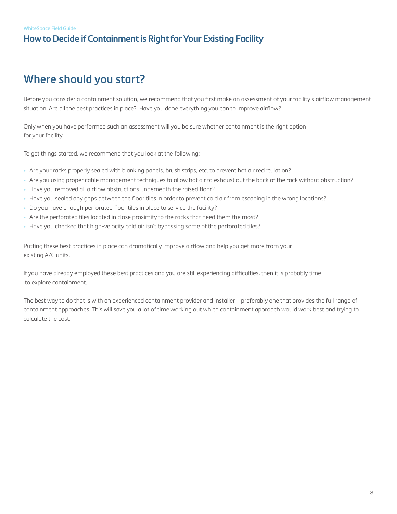# **Where should you start?**

Before you consider a containment solution, we recommend that you first make an assessment of your facility's airflow management situation. Are all the best practices in place? Have you done everything you can to improve airflow?

Only when you have performed such an assessment will you be sure whether containment is the right option for your facility.

To get things started, we recommend that you look at the following:

- Are your racks properly sealed with blanking panels, brush strips, etc. to prevent hot air recirculation?
- Are you using proper cable management techniques to allow hot air to exhaust out the back of the rack without obstruction?
- Have you removed all airflow obstructions underneath the raised floor?
- Have you sealed any gaps between the floor tiles in order to prevent cold air from escaping in the wrong locations?
- Do you have enough perforated floor tiles in place to service the facility?
- Are the perforated tiles located in close proximity to the racks that need them the most?
- Have you checked that high-velocity cold air isn't bypassing some of the perforated tiles?

Putting these best practices in place can dramatically improve airflow and help you get more from your existing A/C units.

If you have already employed these best practices and you are still experiencing difficulties, then it is probably time to explore containment.

The best way to do that is with an experienced containment provider and installer – preferably one that provides the full range of containment approaches. This will save you a lot of time working out which containment approach would work best and trying to calculate the cost.